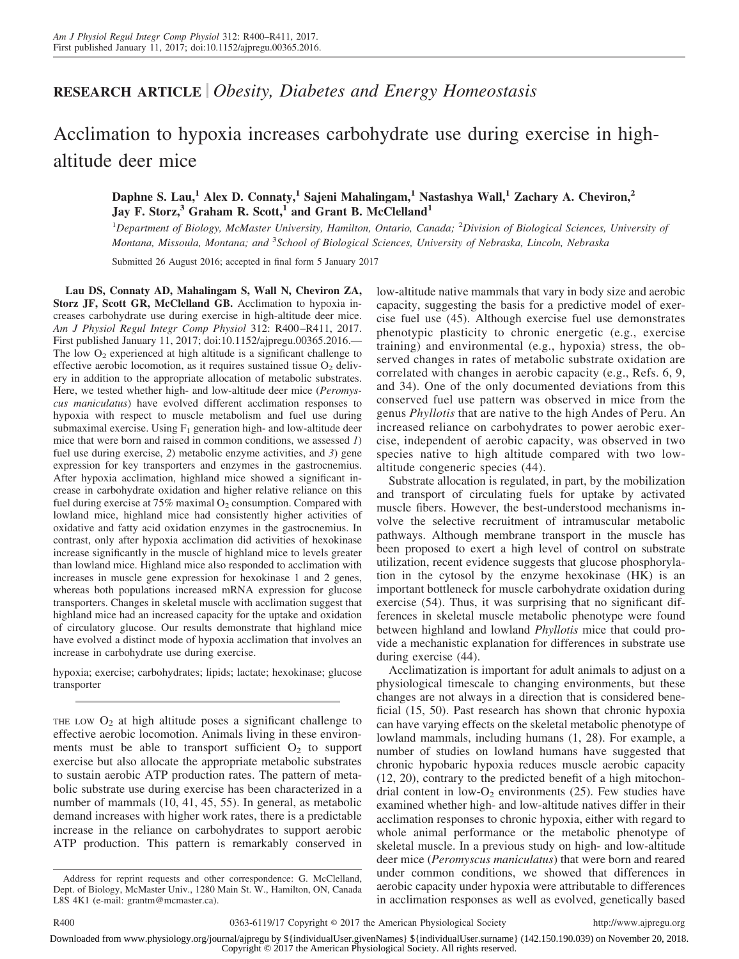# **RESEARCH ARTICLE** *Obesity, Diabetes and Energy Homeostasis*

# Acclimation to hypoxia increases carbohydrate use during exercise in highaltitude deer mice

## **Daphne S. Lau,<sup>1</sup> Alex D. Connaty,<sup>1</sup> Sajeni Mahalingam,<sup>1</sup> Nastashya Wall,<sup>1</sup> Zachary A. Cheviron,<sup>2</sup> Jay F. Storz,<sup>3</sup> Graham R. Scott,<sup>1</sup> and Grant B. McClelland<sup>1</sup>**

1 *Department of Biology, McMaster University, Hamilton, Ontario, Canada;* <sup>2</sup> *Division of Biological Sciences, University of Montana, Missoula, Montana; and* <sup>3</sup> *School of Biological Sciences, University of Nebraska, Lincoln, Nebraska*

Submitted 26 August 2016; accepted in final form 5 January 2017

**Lau DS, Connaty AD, Mahalingam S, Wall N, Cheviron ZA, Storz JF, Scott GR, McClelland GB.** Acclimation to hypoxia increases carbohydrate use during exercise in high-altitude deer mice. *Am J Physiol Regul Integr Comp Physiol* 312: R400 –R411, 2017. First published January 11, 2017; doi[:10.1152/ajpregu.00365.2016.](http://doi.org/10.1152/ajpregu.00365.2016.)— The low  $O_2$  experienced at high altitude is a significant challenge to effective aerobic locomotion, as it requires sustained tissue  $O_2$  delivery in addition to the appropriate allocation of metabolic substrates. Here, we tested whether high- and low-altitude deer mice (*Peromyscus maniculatus*) have evolved different acclimation responses to hypoxia with respect to muscle metabolism and fuel use during submaximal exercise. Using  $F_1$  generation high- and low-altitude deer mice that were born and raised in common conditions, we assessed *1*) fuel use during exercise, *2*) metabolic enzyme activities, and *3*) gene expression for key transporters and enzymes in the gastrocnemius. After hypoxia acclimation, highland mice showed a significant increase in carbohydrate oxidation and higher relative reliance on this fuel during exercise at  $75\%$  maximal  $O_2$  consumption. Compared with lowland mice, highland mice had consistently higher activities of oxidative and fatty acid oxidation enzymes in the gastrocnemius. In contrast, only after hypoxia acclimation did activities of hexokinase increase significantly in the muscle of highland mice to levels greater than lowland mice. Highland mice also responded to acclimation with increases in muscle gene expression for hexokinase 1 and 2 genes, whereas both populations increased mRNA expression for glucose transporters. Changes in skeletal muscle with acclimation suggest that highland mice had an increased capacity for the uptake and oxidation of circulatory glucose. Our results demonstrate that highland mice have evolved a distinct mode of hypoxia acclimation that involves an increase in carbohydrate use during exercise.

hypoxia; exercise; carbohydrates; lipids; lactate; hexokinase; glucose transporter

THE LOW  $O_2$  at high altitude poses a significant challenge to effective aerobic locomotion. Animals living in these environments must be able to transport sufficient  $O_2$  to support exercise but also allocate the appropriate metabolic substrates to sustain aerobic ATP production rates. The pattern of metabolic substrate use during exercise has been characterized in a number of mammals (10, 41, 45, 55). In general, as metabolic demand increases with higher work rates, there is a predictable increase in the reliance on carbohydrates to support aerobic ATP production. This pattern is remarkably conserved in

low-altitude native mammals that vary in body size and aerobic capacity, suggesting the basis for a predictive model of exercise fuel use (45). Although exercise fuel use demonstrates phenotypic plasticity to chronic energetic (e.g., exercise training) and environmental (e.g., hypoxia) stress, the observed changes in rates of metabolic substrate oxidation are correlated with changes in aerobic capacity (e.g., Refs. 6, 9, and 34). One of the only documented deviations from this conserved fuel use pattern was observed in mice from the genus *Phyllotis* that are native to the high Andes of Peru. An increased reliance on carbohydrates to power aerobic exercise, independent of aerobic capacity, was observed in two species native to high altitude compared with two lowaltitude congeneric species (44).

Substrate allocation is regulated, in part, by the mobilization and transport of circulating fuels for uptake by activated muscle fibers. However, the best-understood mechanisms involve the selective recruitment of intramuscular metabolic pathways. Although membrane transport in the muscle has been proposed to exert a high level of control on substrate utilization, recent evidence suggests that glucose phosphorylation in the cytosol by the enzyme hexokinase (HK) is an important bottleneck for muscle carbohydrate oxidation during exercise (54). Thus, it was surprising that no significant differences in skeletal muscle metabolic phenotype were found between highland and lowland *Phyllotis* mice that could provide a mechanistic explanation for differences in substrate use during exercise (44).

Acclimatization is important for adult animals to adjust on a physiological timescale to changing environments, but these changes are not always in a direction that is considered beneficial (15, 50). Past research has shown that chronic hypoxia can have varying effects on the skeletal metabolic phenotype of lowland mammals, including humans (1, 28). For example, a number of studies on lowland humans have suggested that chronic hypobaric hypoxia reduces muscle aerobic capacity (12, 20), contrary to the predicted benefit of a high mitochondrial content in low- $O_2$  environments (25). Few studies have examined whether high- and low-altitude natives differ in their acclimation responses to chronic hypoxia, either with regard to whole animal performance or the metabolic phenotype of skeletal muscle. In a previous study on high- and low-altitude deer mice (*Peromyscus maniculatus*) that were born and reared under common conditions, we showed that differences in aerobic capacity under hypoxia were attributable to differences in acclimation responses as well as evolved, genetically based

Downloaded from www.physiology.org/journal/ajpregu by \${individualUser.givenNames} \${individualUser.surname} (142.150.190.039) on November 20, 2018. Copyright © 2017 the American Physiological Society. All rights reserved.

Address for reprint requests and other correspondence: G. McClelland, Dept. of Biology, McMaster Univ., 1280 Main St. W., Hamilton, ON, Canada L8S 4K1 (e-mail: [grantm@mcmaster.ca\)](mailto:grantm@mcmaster.ca).

R400 0363-6119/17 Copyright © 2017 the American Physiological Society http://www.ajpregu.org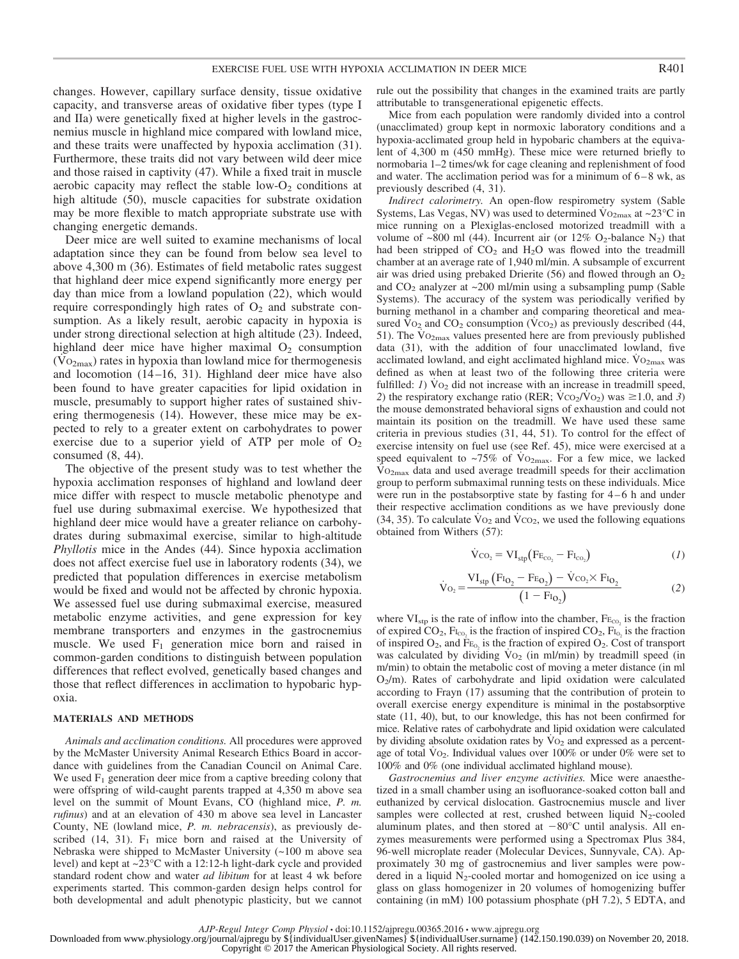changes. However, capillary surface density, tissue oxidative capacity, and transverse areas of oxidative fiber types (type I and IIa) were genetically fixed at higher levels in the gastrocnemius muscle in highland mice compared with lowland mice, and these traits were unaffected by hypoxia acclimation (31). Furthermore, these traits did not vary between wild deer mice and those raised in captivity (47). While a fixed trait in muscle aerobic capacity may reflect the stable  $low-O_2$  conditions at high altitude (50), muscle capacities for substrate oxidation may be more flexible to match appropriate substrate use with changing energetic demands.

Deer mice are well suited to examine mechanisms of local adaptation since they can be found from below sea level to above 4,300 m (36). Estimates of field metabolic rates suggest that highland deer mice expend significantly more energy per day than mice from a lowland population (22), which would require correspondingly high rates of  $O<sub>2</sub>$  and substrate consumption. As a likely result, aerobic capacity in hypoxia is under strong directional selection at high altitude (23). Indeed, highland deer mice have higher maximal  $O_2$  consumption  $(V_{O2max})$  rates in hypoxia than lowland mice for thermogenesis and locomotion (14 –16, 31). Highland deer mice have also been found to have greater capacities for lipid oxidation in muscle, presumably to support higher rates of sustained shivering thermogenesis (14). However, these mice may be expected to rely to a greater extent on carbohydrates to power exercise due to a superior yield of ATP per mole of  $O<sub>2</sub>$ consumed (8, 44).

The objective of the present study was to test whether the hypoxia acclimation responses of highland and lowland deer mice differ with respect to muscle metabolic phenotype and fuel use during submaximal exercise. We hypothesized that highland deer mice would have a greater reliance on carbohydrates during submaximal exercise, similar to high-altitude *Phyllotis* mice in the Andes (44). Since hypoxia acclimation does not affect exercise fuel use in laboratory rodents (34), we predicted that population differences in exercise metabolism would be fixed and would not be affected by chronic hypoxia. We assessed fuel use during submaximal exercise, measured metabolic enzyme activities, and gene expression for key membrane transporters and enzymes in the gastrocnemius muscle. We used F1 generation mice born and raised in common-garden conditions to distinguish between population differences that reflect evolved, genetically based changes and those that reflect differences in acclimation to hypobaric hypoxia.

#### **MATERIALS AND METHODS**

*Animals and acclimation conditions.* All procedures were approved by the McMaster University Animal Research Ethics Board in accordance with guidelines from the Canadian Council on Animal Care. We used  $F_1$  generation deer mice from a captive breeding colony that were offspring of wild-caught parents trapped at 4,350 m above sea level on the summit of Mount Evans, CO (highland mice, *P. m. rufinus*) and at an elevation of 430 m above sea level in Lancaster County, NE (lowland mice, *P. m. nebracensis*), as previously described  $(14, 31)$ .  $F_1$  mice born and raised at the University of Nebraska were shipped to McMaster University (~100 m above sea level) and kept at ~23°C with a 12:12-h light-dark cycle and provided standard rodent chow and water *ad libitum* for at least 4 wk before experiments started. This common-garden design helps control for both developmental and adult phenotypic plasticity, but we cannot

rule out the possibility that changes in the examined traits are partly attributable to transgenerational epigenetic effects.

Mice from each population were randomly divided into a control (unacclimated) group kept in normoxic laboratory conditions and a hypoxia-acclimated group held in hypobaric chambers at the equivalent of 4,300 m (450 mmHg). These mice were returned briefly to normobaria 1–2 times/wk for cage cleaning and replenishment of food and water. The acclimation period was for a minimum of  $6-8$  wk, as previously described (4, 31).

*Indirect calorimetry.* An open-flow respirometry system (Sable Systems, Las Vegas, NV) was used to determined  $\overline{V_{O2max}}$  at ~23°C in mice running on a Plexiglas-enclosed motorized treadmill with a volume of  $\sim 800$  ml (44). Incurrent air (or 12% O<sub>2</sub>-balance N<sub>2</sub>) that had been stripped of  $CO<sub>2</sub>$  and  $H<sub>2</sub>O$  was flowed into the treadmill chamber at an average rate of 1,940 ml/min. A subsample of excurrent air was dried using prebaked Drierite (56) and flowed through an  $O<sub>2</sub>$ and  $CO<sub>2</sub>$  analyzer at ~200 ml/min using a subsampling pump (Sable Systems). The accuracy of the system was periodically verified by burning methanol in a chamber and comparing theoretical and measured  $\overline{V}o_2$  and  $CO_2$  consumption ( $\overline{V}co_2$ ) as previously described (44, 51). The  $\mathrm{Vo}_{2\text{max}}$  values presented here are from previously published data (31), with the addition of four unacclimated lowland, five acclimated lowland, and eight acclimated highland mice.  $Vo_{2max}$  was defined as when at least two of the following three criteria were fulfilled:  $I$ )  $Vo_2$  did not increase with an increase in treadmill speed, 2) the respiratory exchange ratio (RER;  $\vec{V}$  CO<sub>2</sub>/ $\vec{V}$ O<sub>2</sub>) was  $\geq$  1.0, and 3) the mouse demonstrated behavioral signs of exhaustion and could not maintain its position on the treadmill. We have used these same criteria in previous studies (31, 44, 51). To control for the effect of exercise intensity on fuel use (see Ref. 45), mice were exercised at a speed equivalent to ~75% of  $Vo_{2max}$ . For a few mice, we lacked  $\rm{Vo_{2max}}$  data and used average treadmill speeds for their acclimation group to perform submaximal running tests on these individuals. Mice were run in the postabsorptive state by fasting for  $4-6$  h and under their respective acclimation conditions as we have previously done  $(34, 35)$ . To calculate V $o<sub>2</sub>$  and V $co<sub>2</sub>$ , we used the following equations obtained from Withers (57):

$$
\dot{\text{V}}_{\text{CO}_2} = \text{VI}_{\text{stp}} (\text{FE}_{\text{CO}_2} - \text{FI}_{\text{CO}_2})
$$
 (1)

$$
\dot{V}_{O_2} = \frac{VI_{stp} (F_{IO_2} - F_{EO_2}) - \dot{V}_{CO_2} \times F_{IO_2}}{(1 - F_{IO_2})}
$$
(2)

where  $VI_{stp}$  is the rate of inflow into the chamber,  $FE_{CO}$  is the fraction of expired  $CO_2$ ,  $Fi_{CO_2}$  is the fraction of inspired  $CO_2$ ,  $Fi_{O_2}$  is the fraction of inspired  $O_2$ , and  $F_{E_0}$  is the fraction of expired  $O_2$ . Cost of transport was calculated by dividing  $\dot{V}o_2$  (in ml/min) by treadmill speed (in m/min) to obtain the metabolic cost of moving a meter distance (in ml  $O<sub>2</sub>/m$ ). Rates of carbohydrate and lipid oxidation were calculated according to Frayn (17) assuming that the contribution of protein to overall exercise energy expenditure is minimal in the postabsorptive state (11, 40), but, to our knowledge, this has not been confirmed for mice. Relative rates of carbohydrate and lipid oxidation were calculated by dividing absolute oxidation rates by  $\rm{Vo}_2$  and expressed as a percentage of total  $\text{Vo}_2$ . Individual values over 100% or under 0% were set to 100% and 0% (one individual acclimated highland mouse).

*Gastrocnemius and liver enzyme activities.* Mice were anaesthetized in a small chamber using an isofluorance-soaked cotton ball and euthanized by cervical dislocation. Gastrocnemius muscle and liver samples were collected at rest, crushed between liquid  $N_2$ -cooled aluminum plates, and then stored at  $-80^{\circ}$ C until analysis. All enzymes measurements were performed using a Spectromax Plus 384, 96-well microplate reader (Molecular Devices, Sunnyvale, CA). Approximately 30 mg of gastrocnemius and liver samples were powdered in a liquid  $N_2$ -cooled mortar and homogenized on ice using a glass on glass homogenizer in 20 volumes of homogenizing buffer containing (in mM) 100 potassium phosphate (pH 7.2), 5 EDTA, and

Copyright © 2017 the American Physiological Society. All rights reserved.

AJP-Regul Integr Comp Physiol · doi:10.1152/ajpregu.00365.2016 · www.ajpregu.org<br>Downloaded from www.physiology.org/journal/ajpregu by \${individualUser.givenNames} \${individualUser.surname} (142.150.190.039) on November 20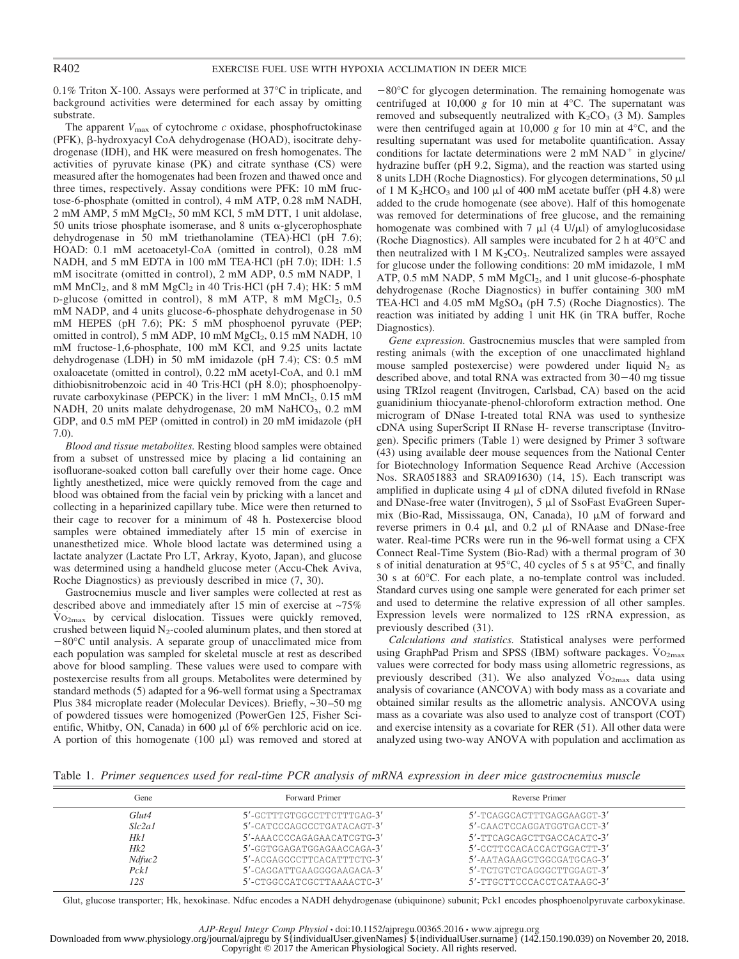0.1% Triton X-100. Assays were performed at 37°C in triplicate, and background activities were determined for each assay by omitting substrate.

The apparent  $V_{\text{max}}$  of cytochrome  $c$  oxidase, phosphofructokinase (PFK), β-hydroxyacyl CoA dehydrogenase (HOAD), isocitrate dehydrogenase (IDH), and HK were measured on fresh homogenates. The activities of pyruvate kinase (PK) and citrate synthase (CS) were measured after the homogenates had been frozen and thawed once and three times, respectively. Assay conditions were PFK: 10 mM fructose-6-phosphate (omitted in control), 4 mM ATP, 0.28 mM NADH, 2 mM AMP, 5 mM MgCl<sub>2</sub>, 50 mM KCl, 5 mM DTT, 1 unit aldolase, 50 units triose phosphate isomerase, and 8 units  $\alpha$ -glycerophosphate dehydrogenase in 50 mM triethanolamine (TEA)·HCl (pH 7.6); HOAD: 0.1 mM acetoacetyl-CoA (omitted in control), 0.28 mM NADH, and 5 mM EDTA in 100 mM TEA·HCl (pH 7.0); IDH: 1.5 mM isocitrate (omitted in control), 2 mM ADP, 0.5 mM NADP, 1 mM  $MnCl<sub>2</sub>$ , and 8 mM  $MgCl<sub>2</sub>$  in 40 Tris·HCl (pH 7.4); HK: 5 mM  $D$ -glucose (omitted in control), 8 mM ATP, 8 mM MgCl<sub>2</sub>, 0.5 mM NADP, and 4 units glucose-6-phosphate dehydrogenase in 50 mM HEPES (pH 7.6); PK: 5 mM phosphoenol pyruvate (PEP; omitted in control), 5 mM ADP, 10 mM  $MgCl<sub>2</sub>$ , 0.15 mM NADH, 10 mM fructose-1,6-phosphate, 100 mM KCl, and 9.25 units lactate dehydrogenase (LDH) in 50 mM imidazole (pH 7.4); CS: 0.5 mM oxaloacetate (omitted in control), 0.22 mM acetyl-CoA, and 0.1 mM dithiobisnitrobenzoic acid in 40 Tris·HCl (pH 8.0); phosphoenolpyruvate carboxykinase (PEPCK) in the liver: 1 mM MnCl<sub>2</sub>, 0.15 mM NADH, 20 units malate dehydrogenase, 20 mM NaHCO<sub>3</sub>, 0.2 mM GDP, and 0.5 mM PEP (omitted in control) in 20 mM imidazole (pH 7.0).

*Blood and tissue metabolites.* Resting blood samples were obtained from a subset of unstressed mice by placing a lid containing an isofluorane-soaked cotton ball carefully over their home cage. Once lightly anesthetized, mice were quickly removed from the cage and blood was obtained from the facial vein by pricking with a lancet and collecting in a heparinized capillary tube. Mice were then returned to their cage to recover for a minimum of 48 h. Postexercise blood samples were obtained immediately after 15 min of exercise in unanesthetized mice. Whole blood lactate was determined using a lactate analyzer (Lactate Pro LT, Arkray, Kyoto, Japan), and glucose was determined using a handheld glucose meter (Accu-Chek Aviva, Roche Diagnostics) as previously described in mice (7, 30).

Gastrocnemius muscle and liver samples were collected at rest as described above and immediately after 15 min of exercise at ~75%  $\dot{V}_{O_{2max}}$  by cervical dislocation. Tissues were quickly removed, crushed between liquid  $N_2$ -cooled aluminum plates, and then stored at -80°C until analysis. A separate group of unacclimated mice from each population was sampled for skeletal muscle at rest as described above for blood sampling. These values were used to compare with postexercise results from all groups. Metabolites were determined by standard methods (5) adapted for a 96-well format using a Spectramax Plus 384 microplate reader (Molecular Devices). Briefly, ~30 –50 mg of powdered tissues were homogenized (PowerGen 125, Fisher Scientific, Whitby, ON, Canada) in 600  $\mu$ l of 6% perchloric acid on ice. A portion of this homogenate  $(100 \mu l)$  was removed and stored at

-80°C for glycogen determination. The remaining homogenate was centrifuged at 10,000 *g* for 10 min at 4°C. The supernatant was removed and subsequently neutralized with  $K_2CO_3$  (3 M). Samples were then centrifuged again at 10,000 *g* for 10 min at 4°C, and the resulting supernatant was used for metabolite quantification. Assay conditions for lactate determinations were  $2 \text{ mM } \text{NAD}^+$  in glycine/ hydrazine buffer (pH 9.2, Sigma), and the reaction was started using 8 units LDH (Roche Diagnostics). For glycogen determinations, 50  $\mu$ l of 1 M K<sub>2</sub>HCO<sub>3</sub> and 100  $\mu$ l of 400 mM acetate buffer (pH 4.8) were added to the crude homogenate (see above). Half of this homogenate was removed for determinations of free glucose, and the remaining homogenate was combined with 7  $\mu$ l (4 U/ $\mu$ l) of amyloglucosidase (Roche Diagnostics). All samples were incubated for 2 h at 40°C and then neutralized with  $1 M K<sub>2</sub>CO<sub>3</sub>$ . Neutralized samples were assayed for glucose under the following conditions: 20 mM imidazole, 1 mM ATP,  $0.5$  mM NADP,  $5$  mM MgCl<sub>2</sub>, and 1 unit glucose-6-phosphate dehydrogenase (Roche Diagnostics) in buffer containing 300 mM TEA·HCl and  $4.05$  mM MgSO<sub>4</sub> (pH  $7.5$ ) (Roche Diagnostics). The reaction was initiated by adding 1 unit HK (in TRA buffer, Roche Diagnostics).

*Gene expression.* Gastrocnemius muscles that were sampled from resting animals (with the exception of one unacclimated highland mouse sampled postexercise) were powdered under liquid  $N_2$  as described above, and total RNA was extracted from 30-40 mg tissue using TRIzol reagent (Invitrogen, Carlsbad, CA) based on the acid guanidinium thiocyanate-phenol-chloroform extraction method. One microgram of DNase I-treated total RNA was used to synthesize cDNA using SuperScript II RNase H- reverse transcriptase (Invitrogen). Specific primers (Table 1) were designed by Primer 3 software (43) using available deer mouse sequences from the National Center for Biotechnology Information Sequence Read Archive (Accession Nos. [SRA051883](https://www.ncbi.nlm.nih.gov/sra/?term=SRA051883) and [SRA091630\)](https://www.ncbi.nlm.nih.gov/sra/?term=SRA091630) (14, 15). Each transcript was amplified in duplicate using  $4 \mu l$  of cDNA diluted fivefold in RNase and DNase-free water (Invitrogen),  $5 \mu l$  of SsoFast EvaGreen Supermix (Bio-Rad, Mississauga, ON, Canada),  $10 \mu M$  of forward and reverse primers in  $0.4 \mu l$ , and  $0.2 \mu l$  of RNAase and DNase-free water. Real-time PCRs were run in the 96-well format using a CFX Connect Real-Time System (Bio-Rad) with a thermal program of 30 s of initial denaturation at 95°C, 40 cycles of 5 s at 95°C, and finally 30 s at 60°C. For each plate, a no-template control was included. Standard curves using one sample were generated for each primer set and used to determine the relative expression of all other samples. Expression levels were normalized to 12S rRNA expression, as previously described (31).

*Calculations and statistics.* Statistical analyses were performed using GraphPad Prism and SPSS (IBM) software packages. VO<sub>2max</sub> values were corrected for body mass using allometric regressions, as previously described (31). We also analyzed  $\dot{V}_{O2\text{max}}$  data using analysis of covariance (ANCOVA) with body mass as a covariate and obtained similar results as the allometric analysis. ANCOVA using mass as a covariate was also used to analyze cost of transport (COT) and exercise intensity as a covariate for RER (51). All other data were analyzed using two-way ANOVA with population and acclimation as

Table 1. *Primer sequences used for real-time PCR analysis of mRNA expression in deer mice gastrocnemius muscle*

| Gene               | Forward Primer             | Reverse Primer             |
|--------------------|----------------------------|----------------------------|
| Glut4              | 5'-GCTTTGTGGCCTTCTTTGAG-3' | 5'-TCAGGCACTTTGAGGAAGGT-3' |
| Slc2a1             | 5'-CATCCCAGCCCTGATACAGT-3' | 5'-CAACTCCAGGATGGTGACCT-3' |
| HkI                | 5'-AAACCCCAGAGAACATCGTG-3' | 5'-TTCAGCAGCTTGACCACATC-3' |
| Hk2                | 5'-GGTGGAGATGGAGAACCAGA-3' | 5'-CCTTCCACACCACTGGACTT-3' |
| Ndfuc <sub>2</sub> | 5'-ACGAGCCCTTCACATTTCTG-3' | 5'-AATAGAAGCTGGCGATGCAG-3' |
| Pck1               | 5'-CAGGATTGAAGGGGAAGACA-3' | 5'-TCTGTCTCAGGGCTTGGAGT-3' |
| 12S                | 5'-CTGGCCATCGCTTAAAACTC-3' | 5'-TTGCTTCCCACCTCATAAGC-3' |

Glut, glucose transporter; Hk, hexokinase. Ndfuc encodes a NADH dehydrogenase (ubiquinone) subunit; Pck1 encodes phosphoenolpyruvate carboxykinase.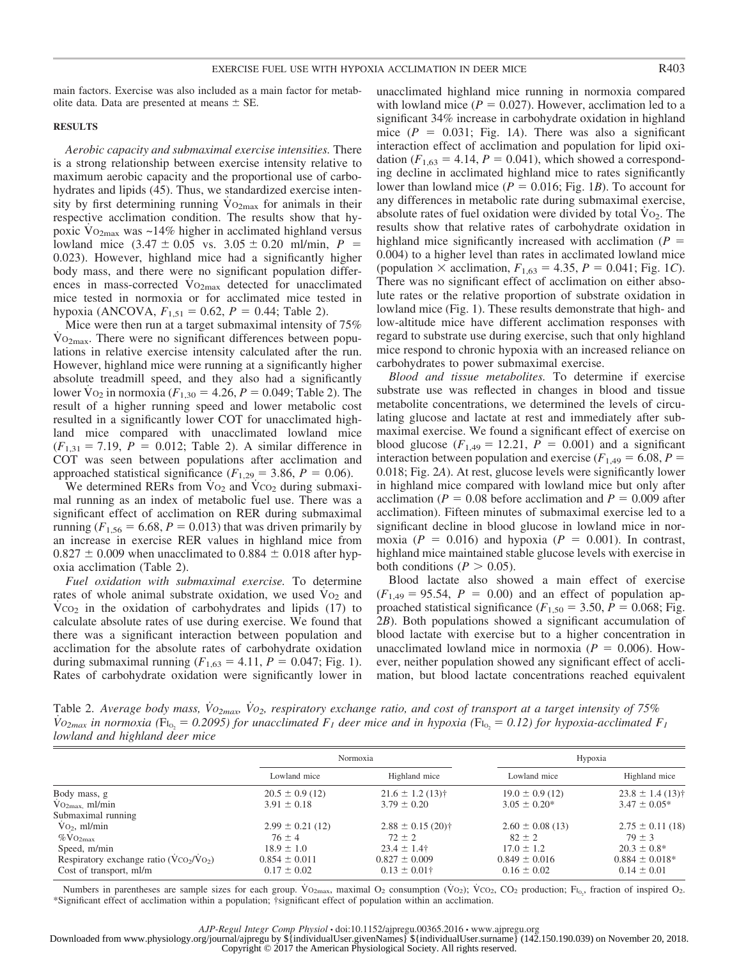main factors. Exercise was also included as a main factor for metabolite data. Data are presented at means  $\pm$  SE.

#### **RESULTS**

*Aerobic capacity and submaximal exercise intensities.* There is a strong relationship between exercise intensity relative to maximum aerobic capacity and the proportional use of carbohydrates and lipids (45). Thus, we standardized exercise intensity by first determining running  $Vo_{2max}$  for animals in their respective acclimation condition. The results show that hypoxic  $\rm{Vo_{2max}}$  was ~14% higher in acclimated highland versus lowland mice  $(3.47 \pm 0.05 \text{ vs. } 3.05 \pm 0.20 \text{ ml/min}, P =$ 0.023). However, highland mice had a significantly higher body mass, and there were no significant population differences in mass-corrected  $Vo_{2max}$  detected for unacclimated mice tested in normoxia or for acclimated mice tested in hypoxia (ANCOVA,  $F_{1,51} = 0.62$ ,  $P = 0.44$ ; Table 2).

Mice were then run at a target submaximal intensity of 75%  $Vo<sub>2max</sub>$ . There were no significant differences between populations in relative exercise intensity calculated after the run. However, highland mice were running at a significantly higher absolute treadmill speed, and they also had a significantly lower Vo<sub>2</sub> in normoxia ( $F_{1,30} = 4.26$ ,  $P = 0.049$ ; Table 2). The result of a higher running speed and lower metabolic cost resulted in a significantly lower COT for unacclimated highland mice compared with unacclimated lowland mice  $(F_{1,31} = 7.19, P = 0.012;$  Table 2). A similar difference in COT was seen between populations after acclimation and approached statistical significance  $(F_{1,29} = 3.86, P = 0.06)$ .

We determined RERs from  $\overline{V}o_2$  and  $\overline{V}o_2$  during submaximal running as an index of metabolic fuel use. There was a significant effect of acclimation on RER during submaximal running  $(F_{1,56} = 6.68, P = 0.013)$  that was driven primarily by an increase in exercise RER values in highland mice from  $0.827 \pm 0.009$  when unacclimated to  $0.884 \pm 0.018$  after hypoxia acclimation (Table 2).

*Fuel oxidation with submaximal exercise.* To determine rates of whole animal substrate oxidation, we used  $Vo<sub>2</sub>$  and  $\rm V_{CO_2}$  in the oxidation of carbohydrates and lipids (17) to calculate absolute rates of use during exercise. We found that there was a significant interaction between population and acclimation for the absolute rates of carbohydrate oxidation during submaximal running ( $F_{1,63} = 4.11$ ,  $P = 0.047$ ; Fig. 1). Rates of carbohydrate oxidation were significantly lower in unacclimated highland mice running in normoxia compared with lowland mice  $(P = 0.027)$ . However, acclimation led to a significant 34% increase in carbohydrate oxidation in highland mice  $(P = 0.031$ ; Fig. 1*A*). There was also a significant interaction effect of acclimation and population for lipid oxidation  $(F_{1,63} = 4.14, P = 0.041)$ , which showed a corresponding decline in acclimated highland mice to rates significantly lower than lowland mice  $(P = 0.016; Fig. 1B)$ . To account for any differences in metabolic rate during submaximal exercise, absolute rates of fuel oxidation were divided by total  $Vo_2$ . The results show that relative rates of carbohydrate oxidation in highland mice significantly increased with acclimation (*P* 0.004) to a higher level than rates in acclimated lowland mice (population  $\times$  acclimation,  $F_{1,63} = 4.35$ ,  $P = 0.041$ ; Fig. 1*C*). There was no significant effect of acclimation on either absolute rates or the relative proportion of substrate oxidation in lowland mice (Fig. 1). These results demonstrate that high- and low-altitude mice have different acclimation responses with regard to substrate use during exercise, such that only highland mice respond to chronic hypoxia with an increased reliance on carbohydrates to power submaximal exercise.

*Blood and tissue metabolites.* To determine if exercise substrate use was reflected in changes in blood and tissue metabolite concentrations, we determined the levels of circulating glucose and lactate at rest and immediately after submaximal exercise. We found a significant effect of exercise on blood glucose  $(F_{1,49} = 12.21, P = 0.001)$  and a significant interaction between population and exercise ( $F_{1,49} = 6.08$ ,  $P =$ 0.018; Fig. 2*A*). At rest, glucose levels were significantly lower in highland mice compared with lowland mice but only after acclimation ( $P = 0.08$  before acclimation and  $P = 0.009$  after acclimation). Fifteen minutes of submaximal exercise led to a significant decline in blood glucose in lowland mice in normoxia ( $P = 0.016$ ) and hypoxia ( $P = 0.001$ ). In contrast, highland mice maintained stable glucose levels with exercise in both conditions ( $P > 0.05$ ).

Blood lactate also showed a main effect of exercise  $(F_{1,49} = 95.54, P = 0.00)$  and an effect of population approached statistical significance  $(F_{1,50} = 3.50, P = 0.068;$  Fig. 2*B*). Both populations showed a significant accumulation of blood lactate with exercise but to a higher concentration in unacclimated lowland mice in normoxia ( $P = 0.006$ ). However, neither population showed any significant effect of acclimation, but blood lactate concentrations reached equivalent

Table 2. Average body mass,  $V_{O2max}$ ,  $V_{O2}$ , respiratory exchange ratio, and cost of transport at a target intensity of 75%  $V_2$ <sub>*max*</sub> in normoxia (F<sub>I<sub>0</sub></sub> = 0.2095) for unacclimated F<sub>1</sub> deer mice and in hypoxia (F<sub>I<sub>0</sub></sub> = 0.12) for hypoxia-acclimated F<sub>1</sub> *lowland and highland deer mice*

|                                         | Normoxia             |                                   | Hypoxia              |                                  |
|-----------------------------------------|----------------------|-----------------------------------|----------------------|----------------------------------|
|                                         | Lowland mice         | Highland mice                     | Lowland mice         | Highland mice                    |
| Body mass, g                            | $20.5 \pm 0.9$ (12)  | $21.6 \pm 1.2$ (13) <sup>†</sup>  | $19.0 \pm 0.9$ (12)  | $23.8 \pm 1.4$ (13) <sup>†</sup> |
| $\mathrm{Vo}_{2\mathrm{max}}$ , ml/min  | $3.91 \pm 0.18$      | $3.79 \pm 0.20$                   | $3.05 \pm 0.20*$     | $3.47 \pm 0.05*$                 |
| Submaximal running                      |                      |                                   |                      |                                  |
| $Vo_2$ , ml/min                         | $2.99 \pm 0.21$ (12) | $2.88 \pm 0.15$ (20) <sup>†</sup> | $2.60 \pm 0.08$ (13) | $2.75 \pm 0.11(18)$              |
| $\%$ VO <sub>2max</sub>                 | $76 \pm 4$           | $72 \pm 2$                        | $82 \pm 2$           | $79 \pm 3$                       |
| Speed, m/min                            | $18.9 \pm 1.0$       | $23.4 \pm 1.4$                    | $17.0 \pm 1.2$       | $20.3 \pm 0.8^*$                 |
| Respiratory exchange ratio $(VCO2/VO2)$ | $0.854 \pm 0.011$    | $0.827 \pm 0.009$                 | $0.849 \pm 0.016$    | $0.884 \pm 0.018*$               |
| Cost of transport, ml/m                 | $0.17 \pm 0.02$      | $0.13 \pm 0.01$ †                 | $0.16 \pm 0.02$      | $0.14 \pm 0.01$                  |

Numbers in parentheses are sample sizes for each group.  $\dot{V}o_{2max}$ , maximal  $O_2$  consumption ( $\dot{V}o_2$ );  $\dot{V}co_2$ ,  $CO_2$  production;  $F_{I_{0_2}}$ , fraction of inspired  $O_2$ . \*Significant effect of acclimation within a population; †significant effect of population within an acclimation.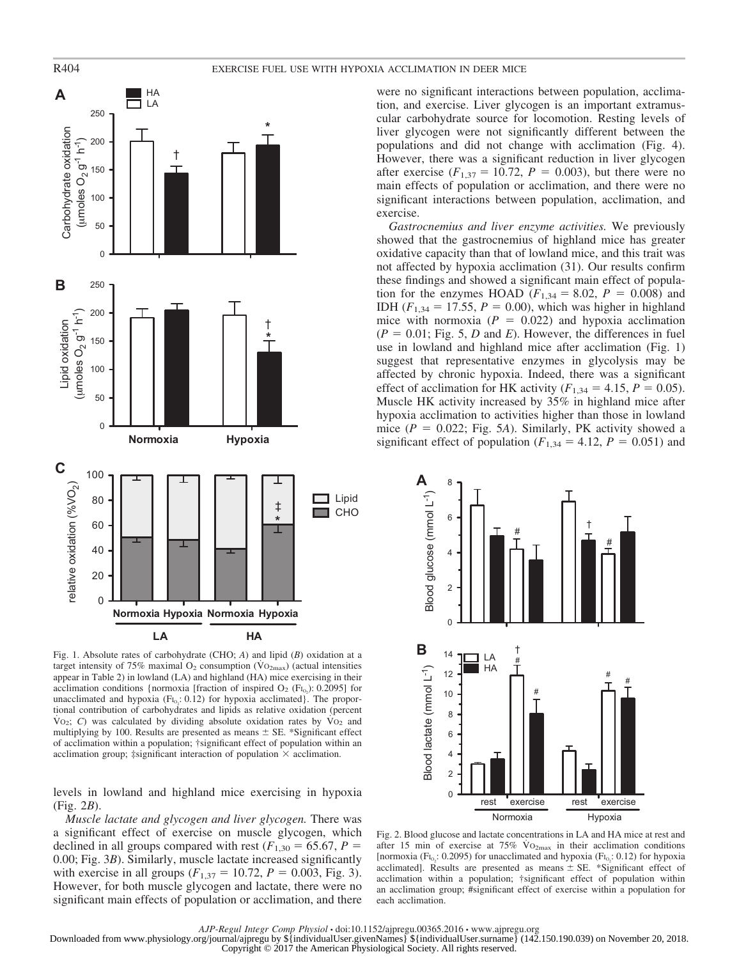

R404 EXERCISE FUEL USE WITH HYPOXIA ACCLIMATION IN DEER MICE

were no significant interactions between population, acclimation, and exercise. Liver glycogen is an important extramuscular carbohydrate source for locomotion. Resting levels of liver glycogen were not significantly different between the populations and did not change with acclimation (Fig. 4). However, there was a significant reduction in liver glycogen after exercise  $(F_{1,37} = 10.72, P = 0.003)$ , but there were no main effects of population or acclimation, and there were no significant interactions between population, acclimation, and exercise.

*Gastrocnemius and liver enzyme activities.* We previously showed that the gastrocnemius of highland mice has greater oxidative capacity than that of lowland mice, and this trait was not affected by hypoxia acclimation (31). Our results confirm these findings and showed a significant main effect of population for the enzymes HOAD ( $F_{1,34} = 8.02$ ,  $P = 0.008$ ) and IDH ( $F_{1,34} = 17.55$ ,  $P = 0.00$ ), which was higher in highland mice with normoxia  $(P = 0.022)$  and hypoxia acclimation  $(P = 0.01; Fig. 5, D and E)$ . However, the differences in fuel use in lowland and highland mice after acclimation (Fig. 1) suggest that representative enzymes in glycolysis may be affected by chronic hypoxia. Indeed, there was a significant effect of acclimation for HK activity  $(F_{1,34} = 4.15, P = 0.05)$ . Muscle HK activity increased by 35% in highland mice after hypoxia acclimation to activities higher than those in lowland mice ( $P = 0.022$ ; Fig. 5*A*). Similarly, PK activity showed a significant effect of population ( $F_{1,34} = 4.12$ ,  $P = 0.051$ ) and



Fig. 1. Absolute rates of carbohydrate (CHO; *A*) and lipid (*B*) oxidation at a target intensity of 75% maximal  $O_2$  consumption (V $O_{2\text{max}}$ ) (actual intensities appear in Table 2) in lowland (LA) and highland (HA) mice exercising in their acclimation conditions {normoxia [fraction of inspired  $O_2$  ( $F_{I_{O_2}}$ ): 0.2095] for unacclimated and hypoxia  $(F_{I_{Q_2}}: 0.12)$  for hypoxia acclimated}. The proportional contribution of carbohydrates and lipids as relative oxidation (percent Vo<sub>2</sub>; *C*) was calculated by dividing absolute oxidation rates by Vo<sub>2</sub> and multiplying by 100. Results are presented as means  $\pm$  SE. \*Significant effect of acclimation within a population; †significant effect of population within an acclimation group;  $\ddagger$ significant interaction of population  $\times$  acclimation.

levels in lowland and highland mice exercising in hypoxia (Fig. 2*B*).

*Muscle lactate and glycogen and liver glycogen.* There was a significant effect of exercise on muscle glycogen, which declined in all groups compared with rest ( $F_{1,30} = 65.67$ ,  $P =$ 0.00; Fig. 3*B*). Similarly, muscle lactate increased significantly with exercise in all groups ( $F_{1,37} = 10.72$ ,  $P = 0.003$ , Fig. 3). However, for both muscle glycogen and lactate, there were no significant main effects of population or acclimation, and there

Fig. 2. Blood glucose and lactate concentrations in LA and HA mice at rest and after 15 min of exercise at 75%  $\overline{V_{O2max}}$  in their acclimation conditions [normoxia ( $Fi_{0,2}$ : 0.2095) for unacclimated and hypoxia ( $Fi_{0,2}$ : 0.12) for hypoxia acclimated]. Results are presented as means  $\pm$  SE. \*Significant effect of acclimation within a population; †significant effect of population within an acclimation group; #significant effect of exercise within a population for each acclimation.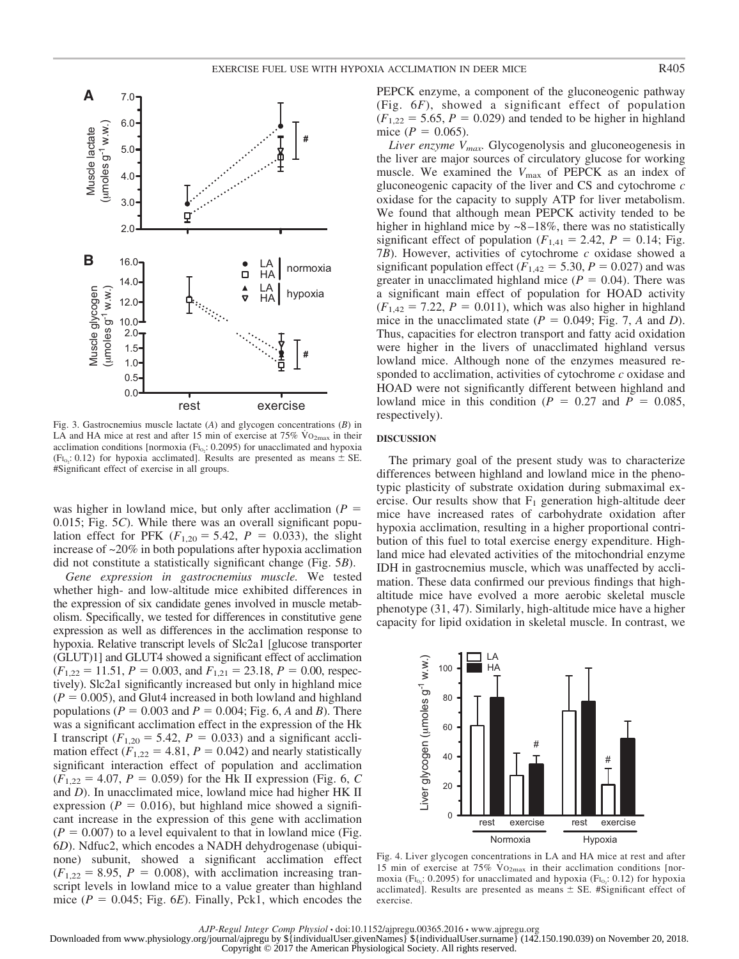

Fig. 3. Gastrocnemius muscle lactate (*A*) and glycogen concentrations (*B*) in LA and HA mice at rest and after 15 min of exercise at  $75\%$  V $O_{2max}$  in their acclimation conditions [normoxia  $(F_{I_0}$ : 0.2095) for unacclimated and hypoxia  $(F_{I_{Q_2}}: 0.12)$  for hypoxia acclimated]. Results are presented as means  $\pm$  SE. #Significant effect of exercise in all groups.

was higher in lowland mice, but only after acclimation (*P* 0.015; Fig. 5*C*). While there was an overall significant population effect for PFK  $(F_{1,20} = 5.42, P = 0.033)$ , the slight increase of ~20% in both populations after hypoxia acclimation did not constitute a statistically significant change (Fig. 5*B*).

*Gene expression in gastrocnemius muscle.* We tested whether high- and low-altitude mice exhibited differences in the expression of six candidate genes involved in muscle metabolism. Specifically, we tested for differences in constitutive gene expression as well as differences in the acclimation response to hypoxia. Relative transcript levels of Slc2a1 [glucose transporter (GLUT)1] and GLUT4 showed a significant effect of acclimation  $(F_{1,22} = 11.51, P = 0.003, \text{ and } F_{1,21} = 23.18, P = 0.00, \text{ respec-}$ tively). Slc2a1 significantly increased but only in highland mice  $(P = 0.005)$ , and Glut4 increased in both lowland and highland populations ( $P = 0.003$  and  $P = 0.004$ ; Fig. 6, A and B). There was a significant acclimation effect in the expression of the Hk I transcript  $(F_{1,20} = 5.42, P = 0.033)$  and a significant acclimation effect  $(F_{1,22} = 4.81, P = 0.042)$  and nearly statistically significant interaction effect of population and acclimation  $(F_{1,22} = 4.07, P = 0.059)$  for the Hk II expression (Fig. 6, *C*) and *D*). In unacclimated mice, lowland mice had higher HK II expression ( $P = 0.016$ ), but highland mice showed a significant increase in the expression of this gene with acclimation  $(P = 0.007)$  to a level equivalent to that in lowland mice (Fig. 6*D*). Ndfuc2, which encodes a NADH dehydrogenase (ubiquinone) subunit, showed a significant acclimation effect  $(F_{1,22} = 8.95, P = 0.008)$ , with acclimation increasing transcript levels in lowland mice to a value greater than highland mice  $(P = 0.045; Fig. 6E)$ . Finally, Pck1, which encodes the PEPCK enzyme, a component of the gluconeogenic pathway (Fig. 6*F*), showed a significant effect of population  $(F_{1,22} = 5.65, P = 0.029)$  and tended to be higher in highland mice  $(P = 0.065)$ .

*Liver enzyme Vmax.* Glycogenolysis and gluconeogenesis in the liver are major sources of circulatory glucose for working muscle. We examined the  $V_{\text{max}}$  of PEPCK as an index of gluconeogenic capacity of the liver and CS and cytochrome *c* oxidase for the capacity to supply ATP for liver metabolism. We found that although mean PEPCK activity tended to be higher in highland mice by  $\sim 8-18\%$ , there was no statistically significant effect of population  $(F_{1,41} = 2.42, P = 0.14; Fig.$ 7*B*). However, activities of cytochrome *c* oxidase showed a significant population effect  $(F_{1,42} = 5.30, P = 0.027)$  and was greater in unacclimated highland mice  $(P = 0.04)$ . There was a significant main effect of population for HOAD activity  $(F_{1,42} = 7.22, P = 0.011)$ , which was also higher in highland mice in the unacclimated state  $(P = 0.049;$  Fig. 7, *A* and *D*). Thus, capacities for electron transport and fatty acid oxidation were higher in the livers of unacclimated highland versus lowland mice. Although none of the enzymes measured responded to acclimation, activities of cytochrome *c* oxidase and HOAD were not significantly different between highland and lowland mice in this condition ( $P = 0.27$  and  $P = 0.085$ , respectively).

#### **DISCUSSION**

The primary goal of the present study was to characterize differences between highland and lowland mice in the phenotypic plasticity of substrate oxidation during submaximal exercise. Our results show that  $F_1$  generation high-altitude deer mice have increased rates of carbohydrate oxidation after hypoxia acclimation, resulting in a higher proportional contribution of this fuel to total exercise energy expenditure. Highland mice had elevated activities of the mitochondrial enzyme IDH in gastrocnemius muscle, which was unaffected by acclimation. These data confirmed our previous findings that highaltitude mice have evolved a more aerobic skeletal muscle phenotype (31, 47). Similarly, high-altitude mice have a higher capacity for lipid oxidation in skeletal muscle. In contrast, we



Fig. 4. Liver glycogen concentrations in LA and HA mice at rest and after 15 min of exercise at  $75\%$  V $O_{2\text{max}}$  in their acclimation conditions [normoxia ( $F_{I_{Q_2}}$ : 0.2095) for unacclimated and hypoxia ( $F_{I_{Q_2}}$ : 0.12) for hypoxia acclimated]. Results are presented as means  $\pm$  SE. #Significant effect of exercise.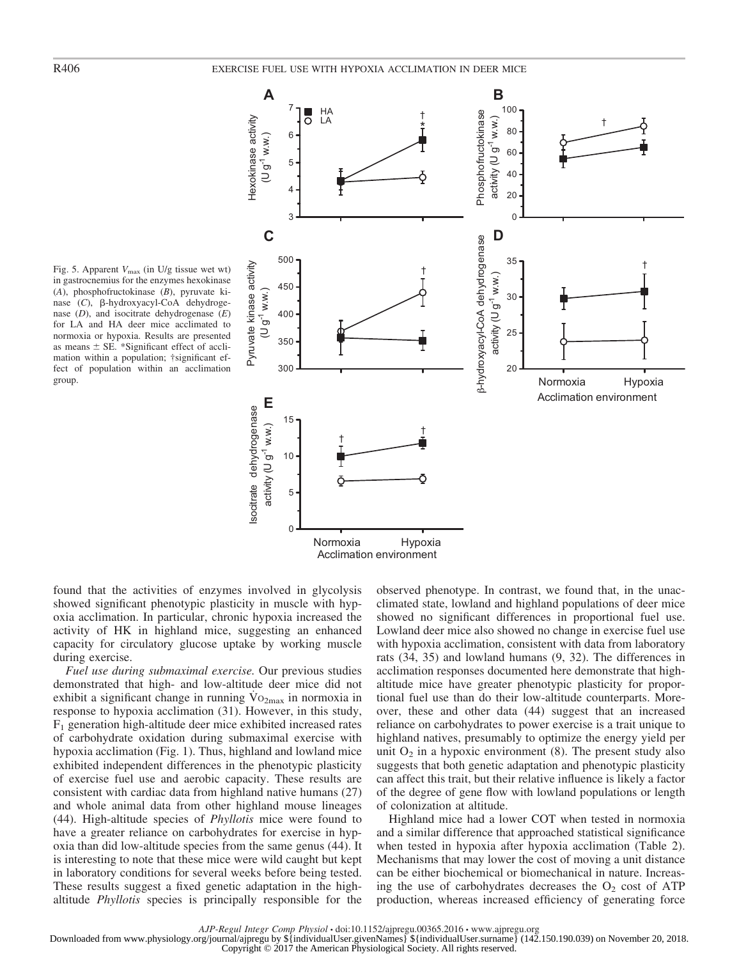Fig. 5. Apparent  $V_{\text{max}}$  (in U/g tissue wet wt) in gastrocnemius for the enzymes hexokinase (*A*), phosphofructokinase (*B*), pyruvate kinase (C), β-hydroxyacyl-CoA dehydrogenase (*D*), and isocitrate dehydrogenase (*E*) for LA and HA deer mice acclimated to normoxia or hypoxia. Results are presented as means  $\pm$  SE. \*Significant effect of acclimation within a population; †significant effect of population within an acclimation group.



found that the activities of enzymes involved in glycolysis showed significant phenotypic plasticity in muscle with hypoxia acclimation. In particular, chronic hypoxia increased the activity of HK in highland mice, suggesting an enhanced capacity for circulatory glucose uptake by working muscle during exercise.

*Fuel use during submaximal exercise.* Our previous studies demonstrated that high- and low-altitude deer mice did not exhibit a significant change in running  $Vo_{2max}$  in normoxia in response to hypoxia acclimation (31). However, in this study,  $F_1$  generation high-altitude deer mice exhibited increased rates of carbohydrate oxidation during submaximal exercise with hypoxia acclimation (Fig. 1). Thus, highland and lowland mice exhibited independent differences in the phenotypic plasticity of exercise fuel use and aerobic capacity. These results are consistent with cardiac data from highland native humans (27) and whole animal data from other highland mouse lineages (44). High-altitude species of *Phyllotis* mice were found to have a greater reliance on carbohydrates for exercise in hypoxia than did low-altitude species from the same genus (44). It is interesting to note that these mice were wild caught but kept in laboratory conditions for several weeks before being tested. These results suggest a fixed genetic adaptation in the highaltitude *Phyllotis* species is principally responsible for the

observed phenotype. In contrast, we found that, in the unacclimated state, lowland and highland populations of deer mice showed no significant differences in proportional fuel use. Lowland deer mice also showed no change in exercise fuel use with hypoxia acclimation, consistent with data from laboratory rats (34, 35) and lowland humans (9, 32). The differences in acclimation responses documented here demonstrate that highaltitude mice have greater phenotypic plasticity for proportional fuel use than do their low-altitude counterparts. Moreover, these and other data (44) suggest that an increased reliance on carbohydrates to power exercise is a trait unique to highland natives, presumably to optimize the energy yield per unit  $O_2$  in a hypoxic environment (8). The present study also suggests that both genetic adaptation and phenotypic plasticity can affect this trait, but their relative influence is likely a factor of the degree of gene flow with lowland populations or length of colonization at altitude.

Highland mice had a lower COT when tested in normoxia and a similar difference that approached statistical significance when tested in hypoxia after hypoxia acclimation (Table 2). Mechanisms that may lower the cost of moving a unit distance can be either biochemical or biomechanical in nature. Increasing the use of carbohydrates decreases the  $O<sub>2</sub>$  cost of ATP production, whereas increased efficiency of generating force

Copyright © 2017 the American Physiological Society. All rights reserved.

AJP-Regul Integr Comp Physiol · doi:10.1152/ajpregu.00365.2016 · www.ajpregu.org<br>Downloaded from www.physiology.org/journal/ajpregu by \${individualUser.givenNames} \${individualUser.surname} (142.150.190.039) on November 20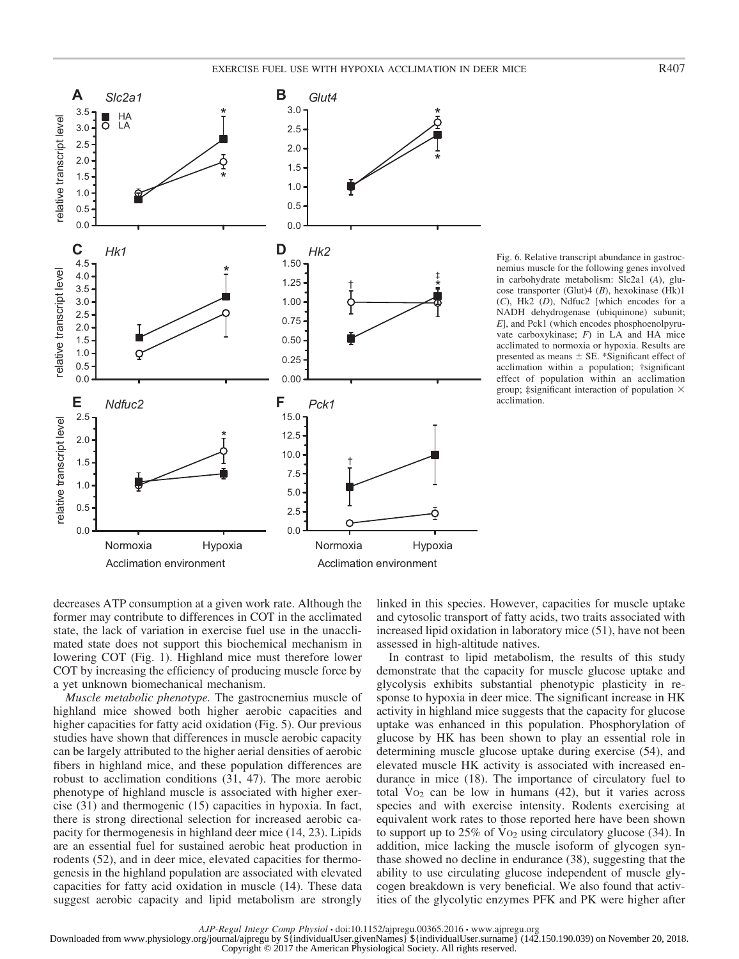

Fig. 6. Relative transcript abundance in gastrocnemius muscle for the following genes involved in carbohydrate metabolism: Slc2a1 (*A*), glucose transporter (Glut)4 (*B*), hexokinase (Hk)1 (*C*), Hk2 (*D*), Ndfuc2 [which encodes for a NADH dehydrogenase (ubiquinone) subunit; *E*], and Pck1 (which encodes phosphoenolpyruvate carboxykinase; *F*) in LA and HA mice acclimated to normoxia or hypoxia. Results are presented as means  $\pm$  SE. \*Significant effect of acclimation within a population; †significant effect of population within an acclimation group;  $\ddagger$ significant interaction of population  $\times$ acclimation.

decreases ATP consumption at a given work rate. Although the former may contribute to differences in COT in the acclimated state, the lack of variation in exercise fuel use in the unacclimated state does not support this biochemical mechanism in lowering COT (Fig. 1). Highland mice must therefore lower COT by increasing the efficiency of producing muscle force by a yet unknown biomechanical mechanism.

*Muscle metabolic phenotype.* The gastrocnemius muscle of highland mice showed both higher aerobic capacities and higher capacities for fatty acid oxidation (Fig. 5). Our previous studies have shown that differences in muscle aerobic capacity can be largely attributed to the higher aerial densities of aerobic fibers in highland mice, and these population differences are robust to acclimation conditions (31, 47). The more aerobic phenotype of highland muscle is associated with higher exercise (31) and thermogenic (15) capacities in hypoxia. In fact, there is strong directional selection for increased aerobic capacity for thermogenesis in highland deer mice (14, 23). Lipids are an essential fuel for sustained aerobic heat production in rodents (52), and in deer mice, elevated capacities for thermogenesis in the highland population are associated with elevated capacities for fatty acid oxidation in muscle (14). These data suggest aerobic capacity and lipid metabolism are strongly

linked in this species. However, capacities for muscle uptake and cytosolic transport of fatty acids, two traits associated with increased lipid oxidation in laboratory mice (51), have not been assessed in high-altitude natives.

In contrast to lipid metabolism, the results of this study demonstrate that the capacity for muscle glucose uptake and glycolysis exhibits substantial phenotypic plasticity in response to hypoxia in deer mice. The significant increase in HK activity in highland mice suggests that the capacity for glucose uptake was enhanced in this population. Phosphorylation of glucose by HK has been shown to play an essential role in determining muscle glucose uptake during exercise (54), and elevated muscle HK activity is associated with increased endurance in mice (18). The importance of circulatory fuel to total  $Vo_2$  can be low in humans (42), but it varies across species and with exercise intensity. Rodents exercising at equivalent work rates to those reported here have been shown to support up to 25% of  $Vo_2$  using circulatory glucose (34). In addition, mice lacking the muscle isoform of glycogen synthase showed no decline in endurance (38), suggesting that the ability to use circulating glucose independent of muscle glycogen breakdown is very beneficial. We also found that activities of the glycolytic enzymes PFK and PK were higher after

AJP-Regul Integr Comp Physiol · doi:10.1152/ajpregu.00365.2016 · www.ajpregu.org<br>Downloaded from www.physiology.org/journal/ajpregu by \${individualUser.givenNames} \${individualUser.surname} (142.150.190.039) on November 20

Copyright © 2017 the American Physiological Society. All rights reserved.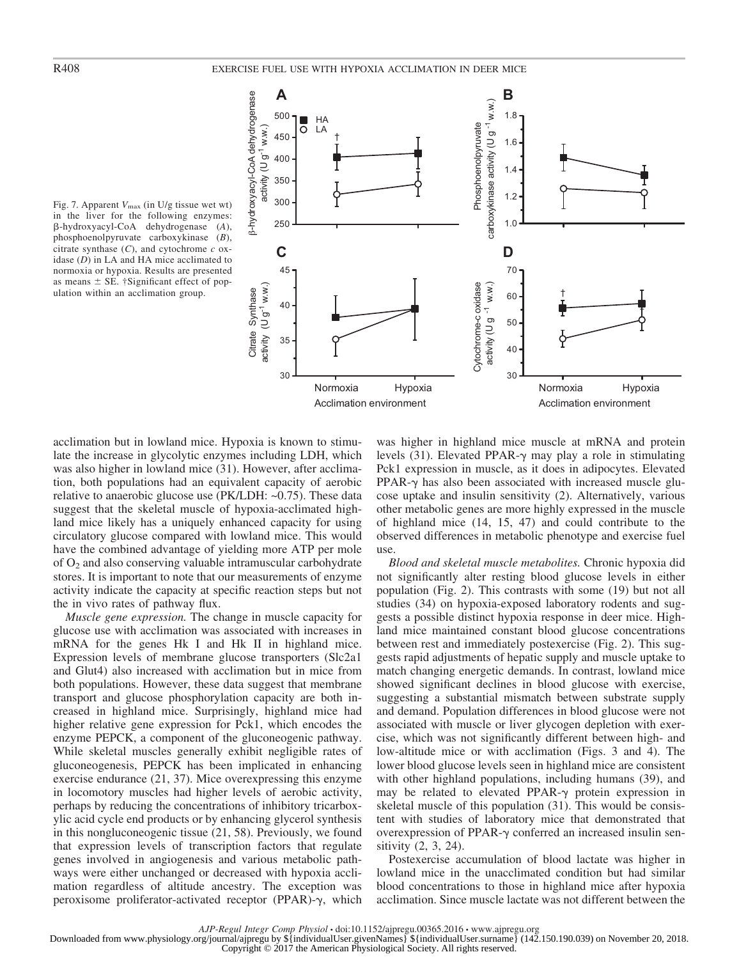

Fig. 7. Apparent  $V_{\text{max}}$  (in U/g tissue wet wt) in the liver for the following enzymes: -hydroxyacyl-CoA dehydrogenase (*A*), phosphoenolpyruvate carboxykinase (*B*), citrate synthase (*C*), and cytochrome *c* oxidase (*D*) in LA and HA mice acclimated to normoxia or hypoxia. Results are presented as means  $\pm$  SE. †Significant effect of population within an acclimation group.

acclimation but in lowland mice. Hypoxia is known to stimulate the increase in glycolytic enzymes including LDH, which was also higher in lowland mice  $(31)$ . However, after acclimation, both populations had an equivalent capacity of aerobic relative to anaerobic glucose use (PK/LDH: ~0.75). These data suggest that the skeletal muscle of hypoxia-acclimated highland mice likely has a uniquely enhanced capacity for using circulatory glucose compared with lowland mice. This would have the combined advantage of yielding more ATP per mole of O2 and also conserving valuable intramuscular carbohydrate stores. It is important to note that our measurements of enzyme activity indicate the capacity at specific reaction steps but not the in vivo rates of pathway flux.

*Muscle gene expression.* The change in muscle capacity for glucose use with acclimation was associated with increases in mRNA for the genes Hk I and Hk II in highland mice. Expression levels of membrane glucose transporters (Slc2a1 and Glut4) also increased with acclimation but in mice from both populations. However, these data suggest that membrane transport and glucose phosphorylation capacity are both increased in highland mice. Surprisingly, highland mice had higher relative gene expression for Pck1, which encodes the enzyme PEPCK, a component of the gluconeogenic pathway. While skeletal muscles generally exhibit negligible rates of gluconeogenesis, PEPCK has been implicated in enhancing exercise endurance (21, 37). Mice overexpressing this enzyme in locomotory muscles had higher levels of aerobic activity, perhaps by reducing the concentrations of inhibitory tricarboxylic acid cycle end products or by enhancing glycerol synthesis in this nongluconeogenic tissue (21, 58). Previously, we found that expression levels of transcription factors that regulate genes involved in angiogenesis and various metabolic pathways were either unchanged or decreased with hypoxia acclimation regardless of altitude ancestry. The exception was peroxisome proliferator-activated receptor (PPAR)- $\gamma$ , which

was higher in highland mice muscle at mRNA and protein levels (31). Elevated PPAR- $\gamma$  may play a role in stimulating Pck1 expression in muscle, as it does in adipocytes. Elevated  $PPAR-\gamma$  has also been associated with increased muscle glucose uptake and insulin sensitivity (2). Alternatively, various other metabolic genes are more highly expressed in the muscle of highland mice (14, 15, 47) and could contribute to the observed differences in metabolic phenotype and exercise fuel use.

*Blood and skeletal muscle metabolites.* Chronic hypoxia did not significantly alter resting blood glucose levels in either population (Fig. 2). This contrasts with some (19) but not all studies (34) on hypoxia-exposed laboratory rodents and suggests a possible distinct hypoxia response in deer mice. Highland mice maintained constant blood glucose concentrations between rest and immediately postexercise (Fig. 2). This suggests rapid adjustments of hepatic supply and muscle uptake to match changing energetic demands. In contrast, lowland mice showed significant declines in blood glucose with exercise, suggesting a substantial mismatch between substrate supply and demand. Population differences in blood glucose were not associated with muscle or liver glycogen depletion with exercise, which was not significantly different between high- and low-altitude mice or with acclimation (Figs. 3 and 4). The lower blood glucose levels seen in highland mice are consistent with other highland populations, including humans (39), and may be related to elevated PPAR- $\gamma$  protein expression in skeletal muscle of this population (31). This would be consistent with studies of laboratory mice that demonstrated that overexpression of PPAR- $\gamma$  conferred an increased insulin sensitivity (2, 3, 24).

Postexercise accumulation of blood lactate was higher in lowland mice in the unacclimated condition but had similar blood concentrations to those in highland mice after hypoxia acclimation. Since muscle lactate was not different between the

AJP-Regul Integr Comp Physiol · doi:10.1152/ajpregu.00365.2016 · www.ajpregu.org<br>Downloaded from www.physiology.org/journal/ajpregu by \${individualUser.givenNames} \${individualUser.surname} (142.150.190.039) on November 20

Copyright © 2017 the American Physiological Society. All rights reserved.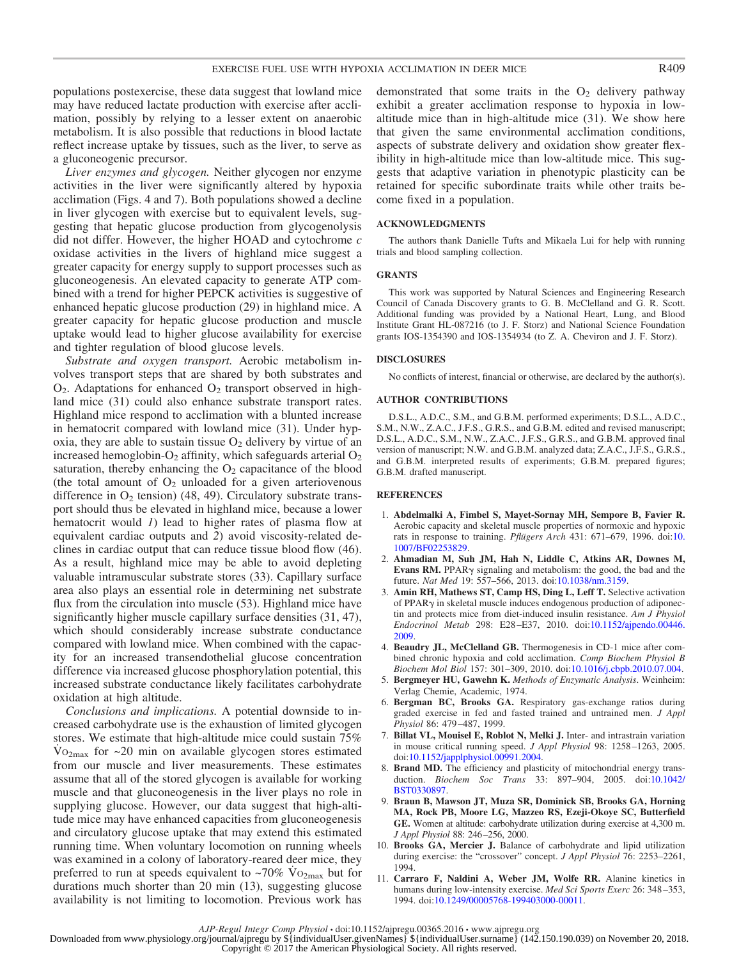populations postexercise, these data suggest that lowland mice may have reduced lactate production with exercise after acclimation, possibly by relying to a lesser extent on anaerobic metabolism. It is also possible that reductions in blood lactate reflect increase uptake by tissues, such as the liver, to serve as a gluconeogenic precursor.

*Liver enzymes and glycogen.* Neither glycogen nor enzyme activities in the liver were significantly altered by hypoxia acclimation (Figs. 4 and 7). Both populations showed a decline in liver glycogen with exercise but to equivalent levels, suggesting that hepatic glucose production from glycogenolysis did not differ. However, the higher HOAD and cytochrome *c* oxidase activities in the livers of highland mice suggest a greater capacity for energy supply to support processes such as gluconeogenesis. An elevated capacity to generate ATP combined with a trend for higher PEPCK activities is suggestive of enhanced hepatic glucose production (29) in highland mice. A greater capacity for hepatic glucose production and muscle uptake would lead to higher glucose availability for exercise and tighter regulation of blood glucose levels.

*Substrate and oxygen transport.* Aerobic metabolism involves transport steps that are shared by both substrates and  $O_2$ . Adaptations for enhanced  $O_2$  transport observed in highland mice (31) could also enhance substrate transport rates. Highland mice respond to acclimation with a blunted increase in hematocrit compared with lowland mice (31). Under hypoxia, they are able to sustain tissue  $O<sub>2</sub>$  delivery by virtue of an increased hemoglobin- $O_2$  affinity, which safeguards arterial  $O_2$ saturation, thereby enhancing the  $O_2$  capacitance of the blood (the total amount of  $O_2$  unloaded for a given arteriovenous difference in  $O_2$  tension) (48, 49). Circulatory substrate transport should thus be elevated in highland mice, because a lower hematocrit would *1*) lead to higher rates of plasma flow at equivalent cardiac outputs and *2*) avoid viscosity-related declines in cardiac output that can reduce tissue blood flow (46). As a result, highland mice may be able to avoid depleting valuable intramuscular substrate stores (33). Capillary surface area also plays an essential role in determining net substrate flux from the circulation into muscle (53). Highland mice have significantly higher muscle capillary surface densities (31, 47), which should considerably increase substrate conductance compared with lowland mice. When combined with the capacity for an increased transendothelial glucose concentration difference via increased glucose phosphorylation potential, this increased substrate conductance likely facilitates carbohydrate oxidation at high altitude.

*Conclusions and implications.* A potential downside to increased carbohydrate use is the exhaustion of limited glycogen stores. We estimate that high-altitude mice could sustain 75%  $\rm{Vo_{2max}}$  for ~20 min on available glycogen stores estimated from our muscle and liver measurements. These estimates assume that all of the stored glycogen is available for working muscle and that gluconeogenesis in the liver plays no role in supplying glucose. However, our data suggest that high-altitude mice may have enhanced capacities from gluconeogenesis and circulatory glucose uptake that may extend this estimated running time. When voluntary locomotion on running wheels was examined in a colony of laboratory-reared deer mice, they preferred to run at speeds equivalent to ~70%  $\rm Vo_{2max}$  but for durations much shorter than 20 min (13), suggesting glucose availability is not limiting to locomotion. Previous work has

demonstrated that some traits in the  $O<sub>2</sub>$  delivery pathway exhibit a greater acclimation response to hypoxia in lowaltitude mice than in high-altitude mice (31). We show here that given the same environmental acclimation conditions, aspects of substrate delivery and oxidation show greater flexibility in high-altitude mice than low-altitude mice. This suggests that adaptive variation in phenotypic plasticity can be retained for specific subordinate traits while other traits become fixed in a population.

#### **ACKNOWLEDGMENTS**

The authors thank Danielle Tufts and Mikaela Lui for help with running trials and blood sampling collection.

#### **GRANTS**

This work was supported by Natural Sciences and Engineering Research Council of Canada Discovery grants to G. B. McClelland and G. R. Scott. Additional funding was provided by a National Heart, Lung, and Blood Institute Grant HL-087216 (to J. F. Storz) and National Science Foundation grants IOS-1354390 and IOS-1354934 (to Z. A. Cheviron and J. F. Storz).

#### **DISCLOSURES**

No conflicts of interest, financial or otherwise, are declared by the author(s).

#### **AUTHOR CONTRIBUTIONS**

D.S.L., A.D.C., S.M., and G.B.M. performed experiments; D.S.L., A.D.C., S.M., N.W., Z.A.C., J.F.S., G.R.S., and G.B.M. edited and revised manuscript; D.S.L., A.D.C., S.M., N.W., Z.A.C., J.F.S., G.R.S., and G.B.M. approved final version of manuscript; N.W. and G.B.M. analyzed data; Z.A.C., J.F.S., G.R.S., and G.B.M. interpreted results of experiments; G.B.M. prepared figures; G.B.M. drafted manuscript.

#### **REFERENCES**

- 1. **Abdelmalki A, Fimbel S, Mayet-Sornay MH, Sempore B, Favier R.** Aerobic capacity and skeletal muscle properties of normoxic and hypoxic rats in response to training. *Pflügers Arch* 431: 671–679, 1996. doi[:10.](http://dx.doi.org/10.1007/BF02253829) [1007/BF02253829.](http://dx.doi.org/10.1007/BF02253829)
- 2. **Ahmadian M, Suh JM, Hah N, Liddle C, Atkins AR, Downes M, Evans RM.** PPAR $\gamma$  signaling and metabolism: the good, the bad and the future. *Nat Med* 19: 557–566, 2013. doi[:10.1038/nm.3159.](http://dx.doi.org/10.1038/nm.3159)
- 3. **Amin RH, Mathews ST, Camp HS, Ding L, Leff T.** Selective activation of PPAR $\gamma$  in skeletal muscle induces endogenous production of adiponectin and protects mice from diet-induced insulin resistance. *Am J Physiol Endocrinol Metab* 298: E28 –E37, 2010. doi[:10.1152/ajpendo.00446.](http://dx.doi.org/10.1152/ajpendo.00446.2009) [2009.](http://dx.doi.org/10.1152/ajpendo.00446.2009)
- 4. **Beaudry JL, McClelland GB.** Thermogenesis in CD-1 mice after combined chronic hypoxia and cold acclimation. *Comp Biochem Physiol B Biochem Mol Biol* 157: 301–309, 2010. doi[:10.1016/j.cbpb.2010.07.004.](http://dx.doi.org/10.1016/j.cbpb.2010.07.004)
- 5. **Bergmeyer HU, Gawehn K.** *Methods of Enzymatic Analysis*. Weinheim: Verlag Chemie, Academic, 1974.
- 6. **Bergman BC, Brooks GA.** Respiratory gas-exchange ratios during graded exercise in fed and fasted trained and untrained men. *J Appl Physiol* 86: 479 –487, 1999.
- 7. **Billat VL, Mouisel E, Roblot N, Melki J.** Inter- and intrastrain variation in mouse critical running speed. *J Appl Physiol* 98: 1258 –1263, 2005. doi[:10.1152/japplphysiol.00991.2004.](http://dx.doi.org/10.1152/japplphysiol.00991.2004)
- 8. **Brand MD.** The efficiency and plasticity of mitochondrial energy transduction. *Biochem Soc Trans* 33: 897–904, 2005. doi[:10.1042/](http://dx.doi.org/10.1042/BST0330897) [BST0330897.](http://dx.doi.org/10.1042/BST0330897)
- 9. **Braun B, Mawson JT, Muza SR, Dominick SB, Brooks GA, Horning MA, Rock PB, Moore LG, Mazzeo RS, Ezeji-Okoye SC, Butterfield GE.** Women at altitude: carbohydrate utilization during exercise at 4,300 m. *J Appl Physiol* 88: 246 –256, 2000.
- 10. **Brooks GA, Mercier J.** Balance of carbohydrate and lipid utilization during exercise: the "crossover" concept. *J Appl Physiol* 76: 2253–2261, 1994.
- 11. **Carraro F, Naldini A, Weber JM, Wolfe RR.** Alanine kinetics in humans during low-intensity exercise. *Med Sci Sports Exerc* 26: 348 –353, 1994. doi[:10.1249/00005768-199403000-00011.](http://dx.doi.org/10.1249/00005768-199403000-00011)

AJP-Regul Integr Comp Physiol · doi:10.1152/ajpregu.00365.2016 · www.ajpregu.org<br>Downloaded from www.physiology.org/journal/ajpregu by \${individualUser.givenNames} \${individualUser.surname} (142.150.190.039) on November 20

Copyright © 2017 the American Physiological Society. All rights reserved.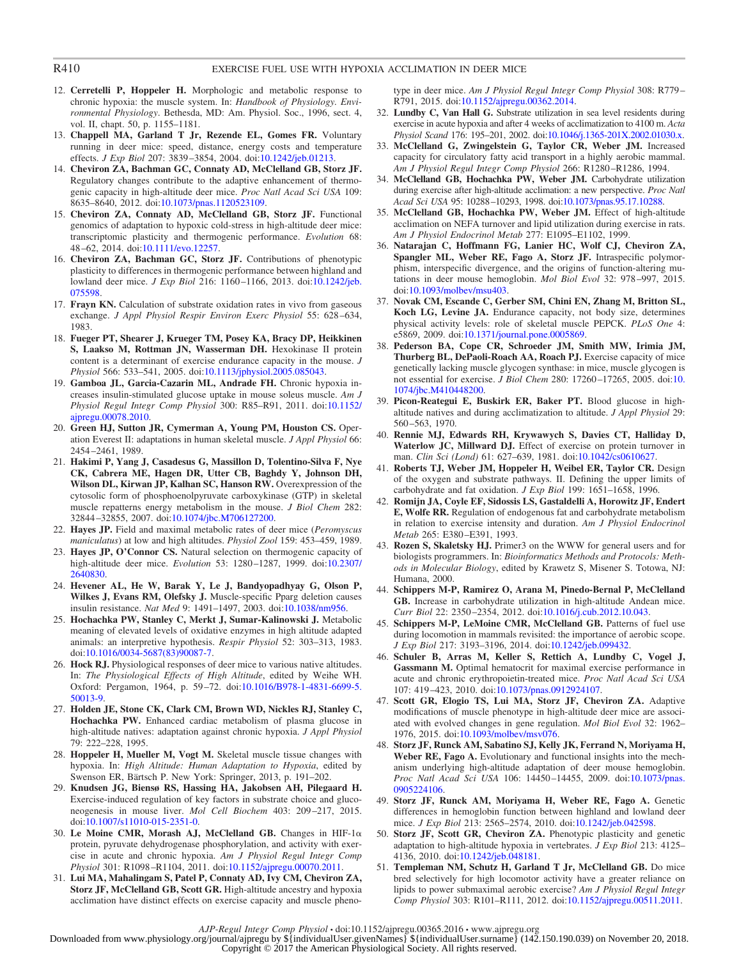### R410 EXERCISE FUEL USE WITH HYPOXIA ACCLIMATION IN DEER MICE

- 12. **Cerretelli P, Hoppeler H.** Morphologic and metabolic response to chronic hypoxia: the muscle system. In: *Handbook of Physiology. Environmental Physiology*. Bethesda, MD: Am. Physiol. Soc., 1996, sect. 4, vol. II, chapt. 50, p. 1155–1181.
- 13. **Chappell MA, Garland T Jr, Rezende EL, Gomes FR.** Voluntary running in deer mice: speed, distance, energy costs and temperature effects. *J Exp Biol* 207: 3839 –3854, 2004. doi[:10.1242/jeb.01213.](http://dx.doi.org/10.1242/jeb.01213)
- 14. **Cheviron ZA, Bachman GC, Connaty AD, McClelland GB, Storz JF.** Regulatory changes contribute to the adaptive enhancement of thermogenic capacity in high-altitude deer mice. *Proc Natl Acad Sci USA* 109: 8635–8640, 2012. doi[:10.1073/pnas.1120523109.](http://dx.doi.org/10.1073/pnas.1120523109)
- 15. **Cheviron ZA, Connaty AD, McClelland GB, Storz JF.** Functional genomics of adaptation to hypoxic cold-stress in high-altitude deer mice: transcriptomic plasticity and thermogenic performance. *Evolution* 68: 48 –62, 2014. doi[:10.1111/evo.12257.](http://dx.doi.org/10.1111/evo.12257)
- 16. **Cheviron ZA, Bachman GC, Storz JF.** Contributions of phenotypic plasticity to differences in thermogenic performance between highland and lowland deer mice. *J Exp Biol* 216: 1160 –1166, 2013. doi[:10.1242/jeb.](http://dx.doi.org/10.1242/jeb.075598) [075598.](http://dx.doi.org/10.1242/jeb.075598)
- 17. **Frayn KN.** Calculation of substrate oxidation rates in vivo from gaseous exchange. *J Appl Physiol Respir Environ Exerc Physiol* 55: 628 –634, 1983.
- 18. **Fueger PT, Shearer J, Krueger TM, Posey KA, Bracy DP, Heikkinen S, Laakso M, Rottman JN, Wasserman DH.** Hexokinase II protein content is a determinant of exercise endurance capacity in the mouse. *J Physiol* 566: 533–541, 2005. doi[:10.1113/jphysiol.2005.085043.](http://dx.doi.org/10.1113/jphysiol.2005.085043)
- 19. **Gamboa JL, Garcia-Cazarin ML, Andrade FH.** Chronic hypoxia increases insulin-stimulated glucose uptake in mouse soleus muscle. *Am J Physiol Regul Integr Comp Physiol* 300: R85–R91, 2011. doi[:10.1152/](http://dx.doi.org/10.1152/ajpregu.00078.2010) [ajpregu.00078.2010.](http://dx.doi.org/10.1152/ajpregu.00078.2010)
- 20. **Green HJ, Sutton JR, Cymerman A, Young PM, Houston CS.** Operation Everest II: adaptations in human skeletal muscle. *J Appl Physiol* 66: 2454 –2461, 1989.
- 21. **Hakimi P, Yang J, Casadesus G, Massillon D, Tolentino-Silva F, Nye CK, Cabrera ME, Hagen DR, Utter CB, Baghdy Y, Johnson DH, Wilson DL, Kirwan JP, Kalhan SC, Hanson RW.** Overexpression of the cytosolic form of phosphoenolpyruvate carboxykinase (GTP) in skeletal muscle repatterns energy metabolism in the mouse. *J Biol Chem* 282: 32844 –32855, 2007. doi[:10.1074/jbc.M706127200.](http://dx.doi.org/10.1074/jbc.M706127200)
- 22. **Hayes JP.** Field and maximal metabolic rates of deer mice (*Peromyscus maniculatus*) at low and high altitudes. *Physiol Zool* 159: 453–459, 1989.
- 23. **Hayes JP, O'Connor CS.** Natural selection on thermogenic capacity of high-altitude deer mice. *Evolution* 53: 1280 –1287, 1999. doi[:10.2307/](http://dx.doi.org/10.2307/2640830) [2640830.](http://dx.doi.org/10.2307/2640830)
- 24. **Hevener AL, He W, Barak Y, Le J, Bandyopadhyay G, Olson P, Wilkes J, Evans RM, Olefsky J.** Muscle-specific Pparg deletion causes insulin resistance. *Nat Med* 9: 1491–1497, 2003. doi[:10.1038/nm956.](http://dx.doi.org/10.1038/nm956)
- 25. **Hochachka PW, Stanley C, Merkt J, Sumar-Kalinowski J.** Metabolic meaning of elevated levels of oxidative enzymes in high altitude adapted animals: an interpretive hypothesis. *Respir Physiol* 52: 303–313, 1983. doi[:10.1016/0034-5687\(83\)90087-7.](http://dx.doi.org/10.1016/0034-5687%2883%2990087-7)
- 26. **Hock RJ.** Physiological responses of deer mice to various native altitudes. In: *The Physiological Effects of High Altitude*, edited by Weihe WH. Oxford: Pergamon, 1964, p. 59 –72. doi[:10.1016/B978-1-4831-6699-5.](http://dx.doi.org/10.1016/B978-1-4831-6699-5.50013-9) [50013-9.](http://dx.doi.org/10.1016/B978-1-4831-6699-5.50013-9)
- 27. **Holden JE, Stone CK, Clark CM, Brown WD, Nickles RJ, Stanley C, Hochachka PW.** Enhanced cardiac metabolism of plasma glucose in high-altitude natives: adaptation against chronic hypoxia. *J Appl Physiol* 79: 222–228, 1995.
- 28. **Hoppeler H, Mueller M, Vogt M.** Skeletal muscle tissue changes with hypoxia. In: *High Altitude: Human Adaptation to Hypoxia*, edited by Swenson ER, Bärtsch P. New York: Springer, 2013, p. 191–202.
- 29. **Knudsen JG, Biensø RS, Hassing HA, Jakobsen AH, Pilegaard H.** Exercise-induced regulation of key factors in substrate choice and gluconeogenesis in mouse liver. *Mol Cell Biochem* 403: 209 –217, 2015. doi[:10.1007/s11010-015-2351-0.](http://dx.doi.org/10.1007/s11010-015-2351-0)
- 30. **Le Moine CMR, Morash AJ, McClelland GB.** Changes in HIF-1 protein, pyruvate dehydrogenase phosphorylation, and activity with exercise in acute and chronic hypoxia. *Am J Physiol Regul Integr Comp Physiol* 301: R1098 –R1104, 2011. doi[:10.1152/ajpregu.00070.2011.](http://dx.doi.org/10.1152/ajpregu.00070.2011)
- 31. **Lui MA, Mahalingam S, Patel P, Connaty AD, Ivy CM, Cheviron ZA, Storz JF, McClelland GB, Scott GR.** High-altitude ancestry and hypoxia acclimation have distinct effects on exercise capacity and muscle pheno-

type in deer mice. *Am J Physiol Regul Integr Comp Physiol* 308: R779 – R791, 2015. doi[:10.1152/ajpregu.00362.2014.](http://dx.doi.org/10.1152/ajpregu.00362.2014)

- 32. **Lundby C, Van Hall G.** Substrate utilization in sea level residents during exercise in acute hypoxia and after 4 weeks of acclimatization to 4100 m. *Acta Physiol Scand* 176: 195–201, 2002. doi[:10.1046/j.1365-201X.2002.01030.x.](http://dx.doi.org/10.1046/j.1365-201X.2002.01030.x)
- 33. **McClelland G, Zwingelstein G, Taylor CR, Weber JM.** Increased capacity for circulatory fatty acid transport in a highly aerobic mammal. *Am J Physiol Regul Integr Comp Physiol* 266: R1280 –R1286, 1994.
- 34. **McClelland GB, Hochachka PW, Weber JM.** Carbohydrate utilization during exercise after high-altitude acclimation: a new perspective. *Proc Natl Acad Sci USA* 95: 10288 –10293, 1998. doi[:10.1073/pnas.95.17.10288.](http://dx.doi.org/10.1073/pnas.95.17.10288)
- 35. **McClelland GB, Hochachka PW, Weber JM.** Effect of high-altitude acclimation on NEFA turnover and lipid utilization during exercise in rats. *Am J Physiol Endocrinol Metab* 277: E1095–E1102, 1999.
- 36. **Natarajan C, Hoffmann FG, Lanier HC, Wolf CJ, Cheviron ZA, Spangler ML, Weber RE, Fago A, Storz JF.** Intraspecific polymorphism, interspecific divergence, and the origins of function-altering mutations in deer mouse hemoglobin. *Mol Biol Evol* 32: 978 –997, 2015. doi[:10.1093/molbev/msu403.](http://dx.doi.org/10.1093/molbev/msu403)
- 37. **Novak CM, Escande C, Gerber SM, Chini EN, Zhang M, Britton SL, Koch LG, Levine JA.** Endurance capacity, not body size, determines physical activity levels: role of skeletal muscle PEPCK. *PLoS One* 4: e5869, 2009. doi[:10.1371/journal.pone.0005869.](http://dx.doi.org/10.1371/journal.pone.0005869)
- 38. **Pederson BA, Cope CR, Schroeder JM, Smith MW, Irimia JM, Thurberg BL, DePaoli-Roach AA, Roach PJ.** Exercise capacity of mice genetically lacking muscle glycogen synthase: in mice, muscle glycogen is not essential for exercise. *J Biol Chem* 280: 17260 –17265, 2005. doi[:10.](http://dx.doi.org/10.1074/jbc.M410448200) [1074/jbc.M410448200.](http://dx.doi.org/10.1074/jbc.M410448200)
- 39. **Picon-Reategui E, Buskirk ER, Baker PT.** Blood glucose in highaltitude natives and during acclimatization to altitude. *J Appl Physiol* 29: 560 –563, 1970.
- 40. **Rennie MJ, Edwards RH, Krywawych S, Davies CT, Halliday D, Waterlow JC, Millward DJ.** Effect of exercise on protein turnover in man. *Clin Sci (Lond)* 61: 627–639, 1981. doi[:10.1042/cs0610627.](http://dx.doi.org/10.1042/cs0610627)
- 41. **Roberts TJ, Weber JM, Hoppeler H, Weibel ER, Taylor CR.** Design of the oxygen and substrate pathways. II. Defining the upper limits of carbohydrate and fat oxidation. *J Exp Biol* 199: 1651–1658, 1996.
- 42. **Romijn JA, Coyle EF, Sidossis LS, Gastaldelli A, Horowitz JF, Endert E, Wolfe RR.** Regulation of endogenous fat and carbohydrate metabolism in relation to exercise intensity and duration. *Am J Physiol Endocrinol Metab* 265: E380 –E391, 1993.
- 43. **Rozen S, Skaletsky HJ.** Primer3 on the WWW for general users and for biologists programmers. In: *Bioinformatics Methods and Protocols: Methods in Molecular Biology*, edited by Krawetz S, Misener S. Totowa, NJ: Humana, 2000.
- 44. **Schippers M-P, Ramirez O, Arana M, Pinedo-Bernal P, McClelland GB.** Increase in carbohydrate utilization in high-altitude Andean mice. *Curr Biol* 22: 2350 –2354, 2012. doi[:10.1016/j.cub.2012.10.043.](http://dx.doi.org/10.1016/j.cub.2012.10.043)
- 45. **Schippers M-P, LeMoine CMR, McClelland GB.** Patterns of fuel use during locomotion in mammals revisited: the importance of aerobic scope. *J Exp Biol* 217: 3193–3196, 2014. doi[:10.1242/jeb.099432.](http://dx.doi.org/10.1242/jeb.099432)
- 46. **Schuler B, Arras M, Keller S, Rettich A, Lundby C, Vogel J, Gassmann M.** Optimal hematocrit for maximal exercise performance in acute and chronic erythropoietin-treated mice. *Proc Natl Acad Sci USA* 107: 419 –423, 2010. doi[:10.1073/pnas.0912924107.](http://dx.doi.org/10.1073/pnas.0912924107)
- 47. **Scott GR, Elogio TS, Lui MA, Storz JF, Cheviron ZA.** Adaptive modifications of muscle phenotype in high-altitude deer mice are associated with evolved changes in gene regulation. *Mol Biol Evol* 32: 1962– 1976, 2015. doi[:10.1093/molbev/msv076.](http://dx.doi.org/10.1093/molbev/msv076)
- 48. **Storz JF, Runck AM, Sabatino SJ, Kelly JK, Ferrand N, Moriyama H, Weber RE, Fago A.** Evolutionary and functional insights into the mechanism underlying high-altitude adaptation of deer mouse hemoglobin. *Proc Natl Acad Sci USA* 106: 14450 –14455, 2009. doi[:10.1073/pnas.](http://dx.doi.org/10.1073/pnas.0905224106) [0905224106.](http://dx.doi.org/10.1073/pnas.0905224106)
- 49. **Storz JF, Runck AM, Moriyama H, Weber RE, Fago A.** Genetic differences in hemoglobin function between highland and lowland deer mice. *J Exp Biol* 213: 2565–2574, 2010. doi[:10.1242/jeb.042598.](http://dx.doi.org/10.1242/jeb.042598)
- 50. **Storz JF, Scott GR, Cheviron ZA.** Phenotypic plasticity and genetic adaptation to high-altitude hypoxia in vertebrates. *J Exp Biol* 213: 4125– 4136, 2010. doi[:10.1242/jeb.048181.](http://dx.doi.org/10.1242/jeb.048181)
- 51. **Templeman NM, Schutz H, Garland T Jr, McClelland GB.** Do mice bred selectively for high locomotor activity have a greater reliance on lipids to power submaximal aerobic exercise? *Am J Physiol Regul Integr Comp Physiol* 303: R101–R111, 2012. doi[:10.1152/ajpregu.00511.2011.](http://dx.doi.org/10.1152/ajpregu.00511.2011)